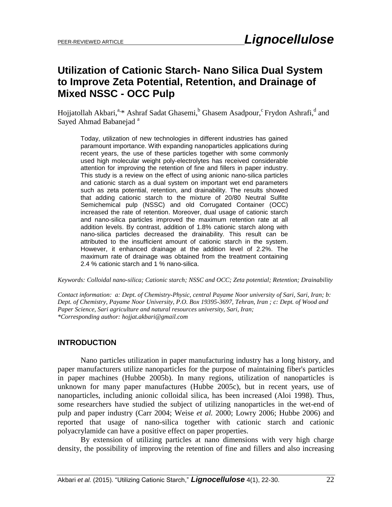# **Utilization of Cationic Starch- Nano Silica Dual System to Improve Zeta Potential, Retention, and Drainage of Mixed NSSC - OCC Pulp**

Hojjatollah Akbari,<sup>a,\*</sup> Ashraf Sadat Ghasemi,<sup>b</sup> Ghasem Asadpour,<sup>c</sup> Frydon Ashrafi,<sup>d</sup> and Sayed Ahmad Babanejad<sup>a</sup>

Today, utilization of new technologies in different industries has gained paramount importance. With expanding nanoparticles applications during recent years, the use of these particles together with some commonly used high molecular weight poly-electrolytes has received considerable attention for improving the retention of fine and fillers in paper industry. This study is a review on the effect of using anionic nano-silica particles and cationic starch as a dual system on important wet end parameters such as zeta potential, retention, and drainability. The results showed that adding cationic starch to the mixture of 20/80 Neutral Sulfite Semichemical pulp (NSSC) and old Corrugated Container (OCC) increased the rate of retention. Moreover, dual usage of cationic starch and nano-silica particles improved the maximum retention rate at all addition levels. By contrast, addition of 1.8% cationic starch along with nano-silica particles decreased the drainability. This result can be attributed to the insufficient amount of cationic starch in the system. However, it enhanced drainage at the addition level of 2.2%. The maximum rate of drainage was obtained from the treatment containing 2.4 % cationic starch and 1 % nano-silica.

*Keywords: Colloidal nano-silica; Cationic starch; NSSC and OCC; Zeta potential; Retention; Drainability*

*Contact information: a: Dept. of Chemistry-Physic, central Payame Noor university of Sari, Sari, Iran; b: Dept. of Chemistry, Payame Noor University, P.O. Box 19395-3697, Tehran, Iran ; c: Dept. of Wood and Paper Science, Sari agriculture and natural resources university, Sari, Iran; \*Corresponding author: hojjat.akbari@gmail.com*

# **INTRODUCTION**

Nano particles utilization in paper manufacturing industry has a long history, and paper manufacturers utilize nanoparticles for the purpose of maintaining fiber's particles in paper machines (Hubbe 2005b). In many regions, utilization of nanoparticles is unknown for many paper manufactures (Hubbe 2005c), but in recent years, use of nanoparticles, including anionic colloidal silica, has been increased (Aloi 1998). Thus, some researchers have studied the subject of utilizing nanoparticles in the wet-end of pulp and paper industry (Carr 2004; Weise *et al.* 2000; Lowry 2006; Hubbe 2006) and reported that usage of nano-silica together with cationic starch and cationic polyacrylamide can have a positive effect on paper properties.

By extension of utilizing particles at nano dimensions with very high charge density, the possibility of improving the retention of fine and fillers and also increasing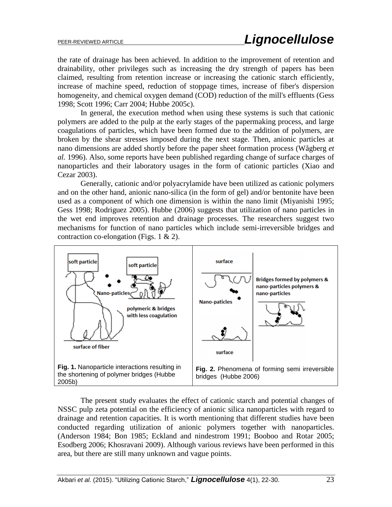the rate of drainage has been achieved. In addition to the improvement of retention and drainability, other privileges such as increasing the dry strength of papers has been claimed, resulting from retention increase or increasing the cationic starch efficiently, increase of machine speed, reduction of stoppage times, increase of fiber's dispersion homogeneity, and chemical oxygen demand (COD) reduction of the mill's effluents (Gess 1998; Scott 1996; Carr 2004; Hubbe 2005c).

In general, the execution method when using these systems is such that cationic polymers are added to the pulp at the early stages of the papermaking process, and large coagulations of particles, which have been formed due to the addition of polymers, are broken by the shear stresses imposed during the next stage. Then, anionic particles at nano dimensions are added shortly before the paper sheet formation process (Wågberg *et al.* 1996). Also, some reports have been published regarding change of surface charges of nanoparticles and their laboratory usages in the form of cationic particles (Xiao and Cezar 2003).

Generally, cationic and/or polyacrylamide have been utilized as cationic polymers and on the other hand, anionic nano-silica (in the form of gel) and/or bentonite have been used as a component of which one dimension is within the nano limit (Miyanishi 1995; Gess 1998; Rodriguez 2005). Hubbe (2006) suggests that utilization of nano particles in the wet end improves retention and drainage processes. The researchers suggest two mechanisms for function of nano particles which include semi-irreversible bridges and contraction co-elongation (Figs. 1 & 2).



The present study evaluates the effect of cationic starch and potential changes of NSSC pulp zeta potential on the efficiency of anionic silica nanoparticles with regard to drainage and retention capacities. It is worth mentioning that different studies have been conducted regarding utilization of anionic polymers together with nanoparticles. (Anderson 1984; Bon 1985; Eckland and nindestrom 1991; Booboo and Rotar 2005; Esodberg 2006; Khosravani 2009). Although various reviews have been performed in this area, but there are still many unknown and vague points.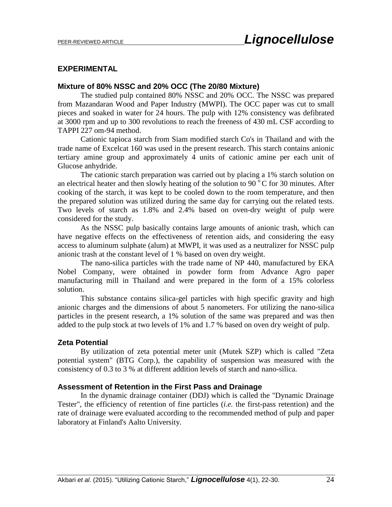## **EXPERIMENTAL**

## **Mixture of 80% NSSC and 20% OCC (The 20/80 Mixture)**

The studied pulp contained 80% NSSC and 20% OCC. The NSSC was prepared from Mazandaran Wood and Paper Industry (MWPI). The OCC paper was cut to small pieces and soaked in water for 24 hours. The pulp with 12% consistency was defibrated at 3000 rpm and up to 300 revolutions to reach the freeness of 430 mL CSF according to TAPPI 227 om-94 method.

Cationic tapioca starch from Siam modified starch Co's in Thailand and with the trade name of Excelcat 160 was used in the present research. This starch contains anionic tertiary amine group and approximately 4 units of cationic amine per each unit of Glucose anhydride.

The cationic starch preparation was carried out by placing a 1% starch solution on an electrical heater and then slowly heating of the solution to 90 $\degree$ C for 30 minutes. After cooking of the starch, it was kept to be cooled down to the room temperature, and then the prepared solution was utilized during the same day for carrying out the related tests. Two levels of starch as 1.8% and 2.4% based on oven-dry weight of pulp were considered for the study.

As the NSSC pulp basically contains large amounts of anionic trash, which can have negative effects on the effectiveness of retention aids, and considering the easy access to aluminum sulphate (alum) at MWPI, it was used as a neutralizer for NSSC pulp anionic trash at the constant level of 1 % based on oven dry weight.

The nano-silica particles with the trade name of NP 440, manufactured by EKA Nobel Company, were obtained in powder form from Advance Agro paper manufacturing mill in Thailand and were prepared in the form of a 15% colorless solution.

This substance contains silica-gel particles with high specific gravity and high anionic charges and the dimensions of about 5 nanometers. For utilizing the nano-silica particles in the present research, a 1% solution of the same was prepared and was then added to the pulp stock at two levels of 1% and 1.7 % based on oven dry weight of pulp.

## **Zeta Potential**

By utilization of zeta potential meter unit (Mutek SZP) which is called "Zeta potential system" (BTG Corp.), the capability of suspension was measured with the consistency of 0.3 to 3 % at different addition levels of starch and nano-silica.

#### **Assessment of Retention in the First Pass and Drainage**

In the dynamic drainage container (DDJ) which is called the "Dynamic Drainage Tester", the efficiency of retention of fine particles (*i.e.* the first-pass retention) and the rate of drainage were evaluated according to the recommended method of pulp and paper laboratory at Finland's Aalto University.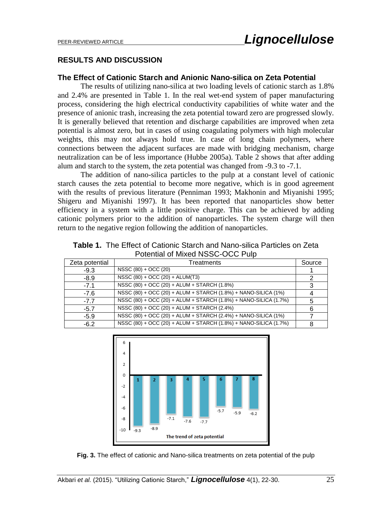## **RESULTS AND DISCUSSION**

#### **The Effect of Cationic Starch and Anionic Nano-silica on Zeta Potential**

The results of utilizing nano-silica at two loading levels of cationic starch as 1.8% and 2.4% are presented in Table 1. In the real wet-end system of paper manufacturing process, considering the high electrical conductivity capabilities of white water and the presence of anionic trash, increasing the zeta potential toward zero are progressed slowly. It is generally believed that retention and discharge capabilities are improved when zeta potential is almost zero, but in cases of using coagulating polymers with high molecular weights, this may not always hold true. In case of long chain polymers, where connections between the adjacent surfaces are made with bridging mechanism, charge neutralization can be of less importance (Hubbe 2005a). Table 2 shows that after adding alum and starch to the system, the zeta potential was changed from -9.3 to -7.1.

The addition of nano-silica particles to the pulp at a constant level of cationic starch causes the zeta potential to become more negative, which is in good agreement with the results of previous literature (Penniman 1993; Makhonin and Miyanishi 1995; Shigeru and Miyanishi 1997). It has been reported that nanoparticles show better efficiency in a system with a little positive charge. This can be achieved by adding cationic polymers prior to the addition of nanoparticles. The system charge will then return to the negative region following the addition of nanoparticles.

**Table 1.** The Effect of Cationic Starch and Nano-silica Particles on Zeta Potential of Mixed NSSC-OCC Pulp

| Zeta potential | Treatments                                                       |   |
|----------------|------------------------------------------------------------------|---|
| $-9.3$         | NSSC (80) + OCC (20)                                             |   |
| $-8.9$         | $NSSC(80) + OCC(20) + ALUM(T3)$                                  |   |
| $-7.1$         | NSSC (80) + OCC (20) + ALUM + STARCH (1.8%)                      |   |
| $-7.6$         | NSSC (80) + OCC (20) + ALUM + STARCH (1.8%) + NANO-SILICA (1%)   |   |
| $-7.7$         | NSSC (80) + OCC (20) + ALUM + STARCH (1.8%) + NANO-SILICA (1.7%) | 5 |
| $-5.7$         | NSSC (80) + OCC (20) + ALUM + STARCH (2.4%)                      | 6 |
| $-5.9$         | NSSC (80) + OCC (20) + ALUM + STARCH (2.4%) + NANO-SILICA (1%)   |   |
| $-6.2$         | NSSC (80) + OCC (20) + ALUM + STARCH (1.8%) + NANO-SILICA (1.7%) | 8 |



**Fig. 3.** The effect of cationic and Nano-silica treatments on zeta potential of the pulp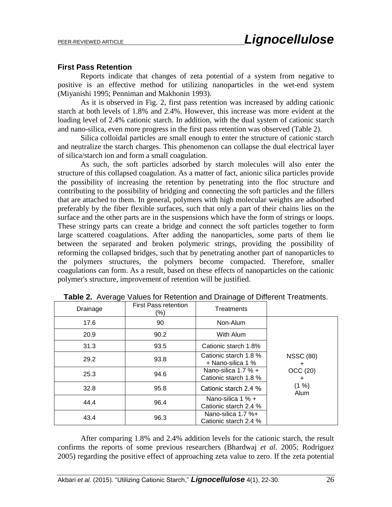#### **First Pass Retention**

Reports indicate that changes of zeta potential of a system from negative to positive is an effective method for utilizing nanoparticles in the wet-end system (Miyanishi 1995; Penniman and Makhonin 1993).

As it is observed in Fig. 2, first pass retention was increased by adding cationic starch at both levels of 1.8% and 2.4%. However, this increase was more evident at the loading level of 2.4% cationic starch. In addition, with the dual system of cationic starch and nano-silica, even more progress in the first pass retention was observed (Table 2).

Silica colloidal particles are small enough to enter the structure of cationic starch and neutralize the starch charges. This phenomenon can collapse the dual electrical layer of silica/starch ion and form a small coagulation.

As such, the soft particles adsorbed by starch molecules will also enter the structure of this collapsed coagulation. As a matter of fact, anionic silica particles provide the possibility of increasing the retention by penetrating into the floc structure and contributing to the possibility of bridging and connecting the soft particles and the fillers that are attached to them. In general, polymers with high molecular weights are adsorbed preferably by the fiber flexible surfaces, such that only a part of their chains lies on the surface and the other parts are in the suspensions which have the form of strings or loops. These stringy parts can create a bridge and connect the soft particles together to form large scattered coagulations. After adding the nanoparticles, some parts of them lie between the separated and broken polymeric strings, providing the possibility of reforming the collapsed bridges, such that by penetrating another part of nanoparticles to the polymers structures, the polymers become compacted. Therefore, smaller coagulations can form. As a result, based on these effects of nanoparticles on the cationic polymer's structure, improvement of retention will be justified.

| Drainage | <b>First Pass retention</b><br>(%) | Treatments                                     |                                                                 |
|----------|------------------------------------|------------------------------------------------|-----------------------------------------------------------------|
| 17.6     | 90                                 | Non-Alum                                       | <b>NSSC (80)</b><br>$\ddot{}$<br>OCC (20)<br>+<br>(1 %)<br>Alum |
| 20.9     | 90.2                               | With Alum                                      |                                                                 |
| 31.3     | 93.5                               | Cationic starch 1.8%                           |                                                                 |
| 29.2     | 93.8                               | Cationic starch 1.8 %<br>+ Nano-silica 1 %     |                                                                 |
| 25.3     | 94.6                               | Nano-silica 1.7 $% +$<br>Cationic starch 1.8 % |                                                                 |
| 32.8     | 95.8                               | Cationic starch 2.4 %                          |                                                                 |
| 44.4     | 96.4                               | Nano-silica 1 % +<br>Cationic starch 2.4 %     |                                                                 |
| 43.4     | 96.3                               | Nano-silica 1.7 %+<br>Cationic starch 2.4 %    |                                                                 |

**Table 2.** Average Values for Retention and Drainage of Different Treatments.

After comparing 1.8% and 2.4% addition levels for the cationic starch, the result confirms the reports of some previous researchers (Bhardwaj *et al.* 2005; Rodriguez 2005) regarding the positive effect of approaching zeta value to zero. If the zeta potential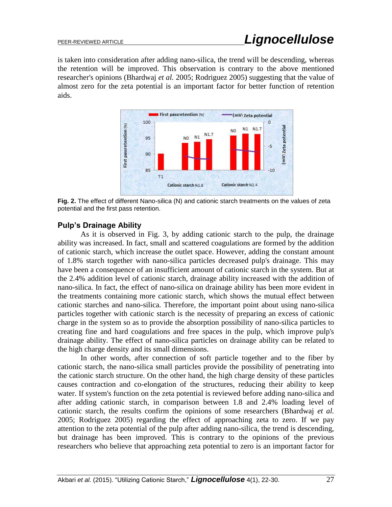is taken into consideration after adding nano-silica, the trend will be descending, whereas the retention will be improved. This observation is contrary to the above mentioned researcher's opinions (Bhardwaj *et al.* 2005; Rodriguez 2005) suggesting that the value of almost zero for the zeta potential is an important factor for better function of retention aids.



**Fig. 2.** The effect of different Nano-silica (N) and cationic starch treatments on the values of zeta potential and the first pass retention.

# **Pulp's Drainage Ability**

As it is observed in Fig. 3, by adding cationic starch to the pulp, the drainage ability was increased. In fact, small and scattered coagulations are formed by the addition of cationic starch, which increase the outlet space. However, adding the constant amount of 1.8% starch together with nano-silica particles decreased pulp's drainage. This may have been a consequence of an insufficient amount of cationic starch in the system. But at the 2.4% addition level of cationic starch, drainage ability increased with the addition of nano-silica. In fact, the effect of nano-silica on drainage ability has been more evident in the treatments containing more cationic starch, which shows the mutual effect between cationic starches and nano-silica. Therefore, the important point about using nano-silica particles together with cationic starch is the necessity of preparing an excess of cationic charge in the system so as to provide the absorption possibility of nano-silica particles to creating fine and hard coagulations and free spaces in the pulp, which improve pulp's drainage ability. The effect of nano-silica particles on drainage ability can be related to the high charge density and its small dimensions.

In other words, after connection of soft particle together and to the fiber by cationic starch, the nano-silica small particles provide the possibility of penetrating into the cationic starch structure. On the other hand, the high charge density of these particles causes contraction and co-elongation of the structures, reducing their ability to keep water. If system's function on the zeta potential is reviewed before adding nano-silica and after adding cationic starch, in comparison between 1.8 and 2.4% loading level of cationic starch, the results confirm the opinions of some researchers (Bhardwaj *et al.* 2005; Rodriguez 2005) regarding the effect of approaching zeta to zero. If we pay attention to the zeta potential of the pulp after adding nano-silica, the trend is descending, but drainage has been improved. This is contrary to the opinions of the previous researchers who believe that approaching zeta potential to zero is an important factor for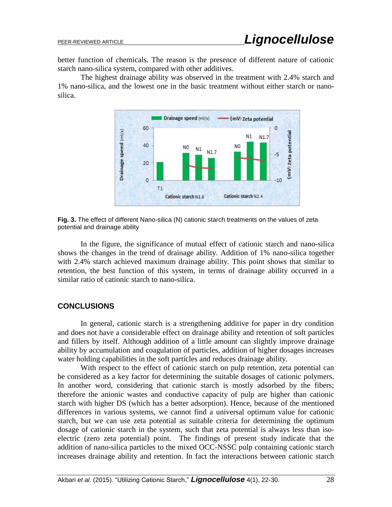better function of chemicals. The reason is the presence of different nature of cationic starch nano-silica system, compared with other additives.

The highest drainage ability was observed in the treatment with 2.4% starch and 1% nano-silica, and the lowest one in the basic treatment without either starch or nanosilica.



**Fig. 3.** The effect of different Nano-silica (N) cationic starch treatments on the values of zeta potential and drainage ability

In the figure, the significance of mutual effect of cationic starch and nano-silica shows the changes in the trend of drainage ability. Addition of 1% nano-silica together with 2.4% starch achieved maximum drainage ability. This point shows that similar to retention, the best function of this system, in terms of drainage ability occurred in a similar ratio of cationic starch to nano-silica.

# **CONCLUSIONS**

In general, cationic starch is a strengthening additive for paper in dry condition and does not have a considerable effect on drainage ability and retention of soft particles and fillers by itself. Although addition of a little amount can slightly improve drainage ability by accumulation and coagulation of particles, addition of higher dosages increases water holding capabilities in the soft particles and reduces drainage ability.

With respect to the effect of cationic starch on pulp retention, zeta potential can be considered as a key factor for determining the suitable dosages of cationic polymers. In another word, considering that cationic starch is mostly adsorbed by the fibers; therefore the anionic wastes and conductive capacity of pulp are higher than cationic starch with higher DS (which has a better adsorption). Hence, because of the mentioned differences in various systems, we cannot find a universal optimum value for cationic starch, but we can use zeta potential as suitable criteria for determining the optimum dosage of cationic starch in the system, such that zeta potential is always less than isoelectric (zero zeta potential) point. The findings of present study indicate that the addition of nano-silica particles to the mixed OCC-NSSC pulp containing cationic starch increases drainage ability and retention. In fact the interactions between cationic starch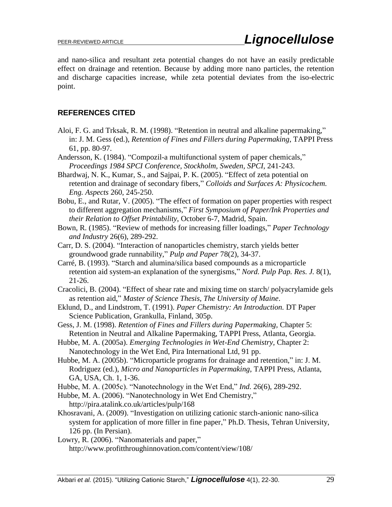and nano-silica and resultant zeta potential changes do not have an easily predictable effect on drainage and retention. Because by adding more nano particles, the retention and discharge capacities increase, while zeta potential deviates from the iso-electric point.

# **REFERENCES CITED**

- Aloi, F. G. and Trksak, R. M. (1998). "Retention in neutral and alkaline papermaking," in: J. M. Gess (ed.), *Retention of Fines and Fillers during Papermaking*, TAPPI Press 61, pp. 80-97.
- Andersson, K. (1984). "Compozil-a multifunctional system of paper chemicals," *Proceedings 1984 SPCI Conference, Stockholm, Sweden, SPCI*, 241-243.
- Bhardwaj, N. K., Kumar, S., and Sajpai, P. K. (2005). "Effect of zeta potential on retention and drainage of secondary fibers," *Colloids and Surfaces A: Physicochem. Eng. Aspects* 260, 245-250.
- Bobu, E., and Rutar, V. (2005). "The effect of formation on paper properties with respect to different aggregation mechanisms," *First Symposium of Paper/Ink Properties and their Relation to Offset Printability*, October 6-7, Madrid, Spain.
- Bown, R. (1985). "Review of methods for increasing filler loadings," *Paper Technology and Industry* 26(6), 289-292.
- Carr, D. S. (2004). "Interaction of nanoparticles chemistry, starch yields better groundwood grade runnability," *Pulp and Paper* 78(2), 34-37.
- Carré, B. (1993). "Starch and alumina/silica based compounds as a microparticle retention aid system-an explanation of the synergisms," *Nord. Pulp Pap. Res. J.* 8(1), 21-26.
- Cracolici, B. (2004). "Effect of shear rate and mixing time on starch/ polyacrylamide gels as retention aid," *Master of Science Thesis, The University of Maine*.
- Eklund, D., and Lindstrom, T. (1991). *Paper Chemistry: An Introduction.* DT Paper Science Publication, Grankulla, Finland, 305p.
- Gess, J. M. (1998). *Retention of Fines and Fillers during Papermaking,* Chapter 5: Retention in Neutral and Alkaline Papermaking, TAPPI Press, Atlanta, Georgia.
- Hubbe, M. A. (2005a). *Emerging Technologies in Wet-End Chemistry,* Chapter 2: Nanotechnology in the Wet End, Pira International Ltd, 91 pp.
- Hubbe, M. A. (2005b). "Microparticle programs for drainage and retention," in: J. M. Rodriguez (ed.), *Micro and Nanoparticles in Papermaking*, TAPPI Press, Atlanta, GA, USA, Ch. 1, 1-36.
- Hubbe, M. A. (2005c). "Nanotechnology in the Wet End," *Ind.* 26(6), 289-292.
- Hubbe, M. A. (2006). "Nanotechnology in Wet End Chemistry," http://pira.atalink.co.uk/articles/pulp/168
- Khosravani, A. (2009). "Investigation on utilizing cationic starch-anionic nano-silica system for application of more filler in fine paper," Ph.D. Thesis, Tehran University, 126 pp. (In Persian).

Lowry, R. (2006). "Nanomaterials and paper," http://www.profitthroughinnovation.com/content/view/108/